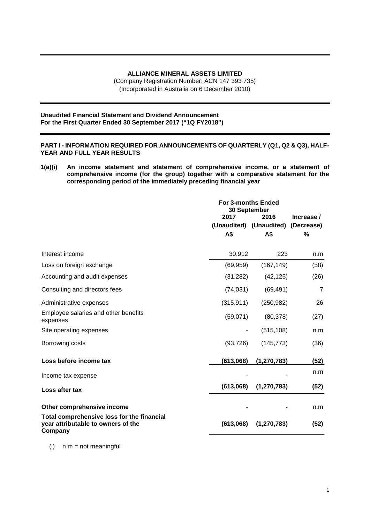# **ALLIANCE MINERAL ASSETS LIMITED**

(Company Registration Number: ACN 147 393 735) (Incorporated in Australia on 6 December 2010)

**Unaudited Financial Statement and Dividend Announcement For the First Quarter Ended 30 September 2017 ("1Q FY2018")**

**PART I - INFORMATION REQUIRED FOR ANNOUNCEMENTS OF QUARTERLY (Q1, Q2 & Q3), HALF-YEAR AND FULL YEAR RESULTS**

**1(a)(i) An income statement and statement of comprehensive income, or a statement of comprehensive income (for the group) together with a comparative statement for the corresponding period of the immediately preceding financial year**

|                                                                                             | <b>For 3-months Ended</b><br>30 September |               |                          |  |
|---------------------------------------------------------------------------------------------|-------------------------------------------|---------------|--------------------------|--|
|                                                                                             | 2017<br>2016<br>(Unaudited) (Unaudited)   |               | Increase /<br>(Decrease) |  |
|                                                                                             | A\$                                       | A\$           | %                        |  |
| Interest income                                                                             | 30,912                                    | 223           | n.m                      |  |
| Loss on foreign exchange                                                                    | (69, 959)                                 | (167, 149)    | (58)                     |  |
| Accounting and audit expenses                                                               | (31, 282)                                 | (42, 125)     | (26)                     |  |
| Consulting and directors fees                                                               | (74, 031)                                 | (69, 491)     | $\overline{7}$           |  |
| Administrative expenses                                                                     | (315, 911)                                | (250, 982)    | 26                       |  |
| Employee salaries and other benefits<br>expenses                                            | (59,071)                                  | (80, 378)     | (27)                     |  |
| Site operating expenses                                                                     |                                           | (515, 108)    | n.m                      |  |
| Borrowing costs                                                                             | (93, 726)                                 | (145, 773)    | (36)                     |  |
| Loss before income tax                                                                      | (613,068)                                 | (1, 270, 783) | (52)                     |  |
| Income tax expense                                                                          |                                           |               | n.m                      |  |
| Loss after tax                                                                              | (613,068)                                 | (1, 270, 783) | (52)                     |  |
| Other comprehensive income                                                                  |                                           |               | n.m                      |  |
| Total comprehensive loss for the financial<br>year attributable to owners of the<br>Company | (613,068)                                 | (1, 270, 783) | (52)                     |  |

 $(i)$  n.m = not meaningful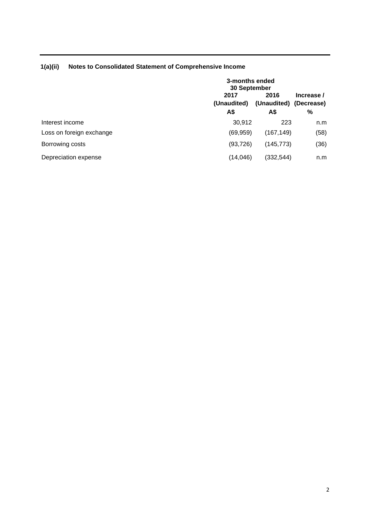# **1(a)(ii) Notes to Consolidated Statement of Comprehensive Income**

|                          | 3-months ended<br>30 September |            |                                      |
|--------------------------|--------------------------------|------------|--------------------------------------|
|                          | 2017<br>2016<br>(Unaudited)    |            | Increase /<br>(Unaudited) (Decrease) |
|                          | A\$                            | A\$        | %                                    |
| Interest income          | 30,912                         | 223        | n.m                                  |
| Loss on foreign exchange | (69, 959)                      | (167, 149) | (58)                                 |
| Borrowing costs          | (93, 726)                      | (145, 773) | (36)                                 |
| Depreciation expense     | (14, 046)                      | (332, 544) | n.m                                  |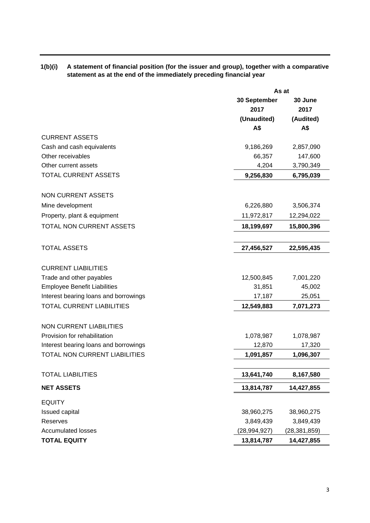| 1(b)(i) | A statement of financial position (for the issuer and group), together with a comparative |
|---------|-------------------------------------------------------------------------------------------|
|         | statement as at the end of the immediately preceding financial year                       |

|                                       | As at                   |                |  |
|---------------------------------------|-------------------------|----------------|--|
|                                       | 30 September<br>30 June |                |  |
|                                       | 2017                    | 2017           |  |
|                                       | (Unaudited)             | (Audited)      |  |
|                                       | A\$                     | A\$            |  |
| <b>CURRENT ASSETS</b>                 |                         |                |  |
| Cash and cash equivalents             | 9,186,269               | 2,857,090      |  |
| Other receivables                     | 66,357                  | 147,600        |  |
| Other current assets                  | 4,204                   | 3,790,349      |  |
| TOTAL CURRENT ASSETS                  | 9,256,830               | 6,795,039      |  |
| <b>NON CURRENT ASSETS</b>             |                         |                |  |
| Mine development                      | 6,226,880               | 3,506,374      |  |
| Property, plant & equipment           | 11,972,817              | 12,294,022     |  |
| TOTAL NON CURRENT ASSETS              | 18,199,697              | 15,800,396     |  |
| <b>TOTAL ASSETS</b>                   | 27,456,527              | 22,595,435     |  |
| <b>CURRENT LIABILITIES</b>            |                         |                |  |
| Trade and other payables              | 12,500,845              | 7,001,220      |  |
| <b>Employee Benefit Liabilities</b>   | 31,851                  | 45,002         |  |
| Interest bearing loans and borrowings | 17,187                  | 25,051         |  |
| <b>TOTAL CURRENT LIABILITIES</b>      | 12,549,883              | 7,071,273      |  |
| <b>NON CURRENT LIABILITIES</b>        |                         |                |  |
| Provision for rehabilitation          | 1,078,987               | 1,078,987      |  |
| Interest bearing loans and borrowings | 12,870                  | 17,320         |  |
| <b>TOTAL NON CURRENT LIABILITIES</b>  | 1,091,857               | 1,096,307      |  |
|                                       |                         |                |  |
| <b>TOTAL LIABILITIES</b>              | 13,641,740              | 8,167,580      |  |
| <b>NET ASSETS</b>                     | 13,814,787              | 14,427,855     |  |
| <b>EQUITY</b>                         |                         |                |  |
| Issued capital                        | 38,960,275              | 38,960,275     |  |
| Reserves                              | 3,849,439               | 3,849,439      |  |
| <b>Accumulated losses</b>             | (28, 994, 927)          | (28, 381, 859) |  |
| <b>TOTAL EQUITY</b>                   | 13,814,787              | 14,427,855     |  |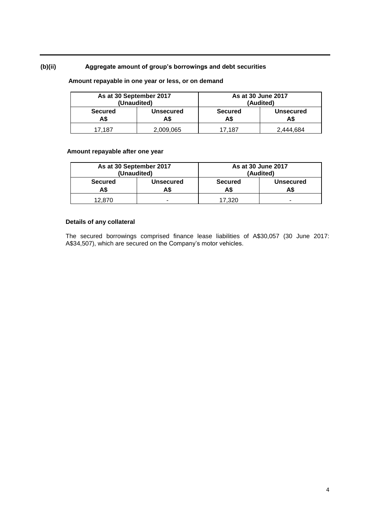# **(b)(ii) Aggregate amount of group's borrowings and debt securities**

# **Amount repayable in one year or less, or on demand**

| As at 30 September 2017 |                  | As at 30 June 2017 |                  |
|-------------------------|------------------|--------------------|------------------|
| (Unaudited)             |                  | (Audited)          |                  |
| <b>Secured</b>          | <b>Unsecured</b> | <b>Secured</b>     | <b>Unsecured</b> |
| A\$                     | A\$              | A\$                | A\$              |
| 17.187                  | 2,009,065        | 17.187             | 2.444.684        |

# **Amount repayable after one year**

| As at 30 September 2017 |           | As at 30 June 2017 |   |
|-------------------------|-----------|--------------------|---|
| (Unaudited)             |           | (Audited)          |   |
| <b>Secured</b>          | Unsecured | <b>Secured</b>     |   |
| A\$                     | A\$       | <b>Unsecured</b>   |   |
| 12.870                  | -         | 7.320              | - |

# **Details of any collateral**

The secured borrowings comprised finance lease liabilities of A\$30,057 (30 June 2017: A\$34,507), which are secured on the Company's motor vehicles.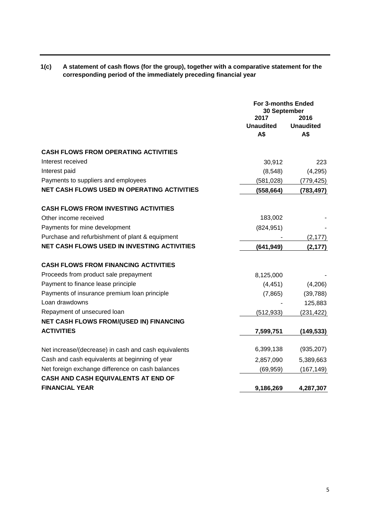| 1(c) | A statement of cash flows (for the group), together with a comparative statement for the |
|------|------------------------------------------------------------------------------------------|
|      | corresponding period of the immediately preceding financial year                         |

|                                                      | <b>For 3-months Ended</b><br>30 September |                                 |  |
|------------------------------------------------------|-------------------------------------------|---------------------------------|--|
|                                                      | 2017<br><b>Unaudited</b><br>A\$           | 2016<br><b>Unaudited</b><br>A\$ |  |
| <b>CASH FLOWS FROM OPERATING ACTIVITIES</b>          |                                           |                                 |  |
| Interest received                                    | 30,912                                    | 223                             |  |
| Interest paid                                        | (8,548)                                   | (4, 295)                        |  |
| Payments to suppliers and employees                  | (581, 028)                                | (779, 425)                      |  |
| <b>NET CASH FLOWS USED IN OPERATING ACTIVITIES</b>   | (558, 664)                                | (783, 497)                      |  |
| <b>CASH FLOWS FROM INVESTING ACTIVITIES</b>          |                                           |                                 |  |
| Other income received                                | 183,002                                   |                                 |  |
| Payments for mine development                        | (824, 951)                                |                                 |  |
| Purchase and refurbishment of plant & equipment      |                                           | (2, 177)                        |  |
| <b>NET CASH FLOWS USED IN INVESTING ACTIVITIES</b>   | (641, 949)                                | (2, 177)                        |  |
| <b>CASH FLOWS FROM FINANCING ACTIVITIES</b>          |                                           |                                 |  |
| Proceeds from product sale prepayment                | 8,125,000                                 |                                 |  |
| Payment to finance lease principle                   | (4, 451)                                  | (4,206)                         |  |
| Payments of insurance premium loan principle         | (7, 865)                                  | (39, 788)                       |  |
| Loan drawdowns                                       |                                           | 125,883                         |  |
| Repayment of unsecured loan                          | (512, 933)                                | (231, 422)                      |  |
| NET CASH FLOWS FROM/(USED IN) FINANCING              |                                           |                                 |  |
| <b>ACTIVITIES</b>                                    | 7,599,751                                 | (149, 533)                      |  |
| Net increase/(decrease) in cash and cash equivalents | 6,399,138                                 | (935, 207)                      |  |
| Cash and cash equivalents at beginning of year       | 2,857,090                                 | 5,389,663                       |  |
| Net foreign exchange difference on cash balances     | (69, 959)                                 | (167, 149)                      |  |
| CASH AND CASH EQUIVALENTS AT END OF                  |                                           |                                 |  |
| <b>FINANCIAL YEAR</b>                                | 9,186,269                                 | 4,287,307                       |  |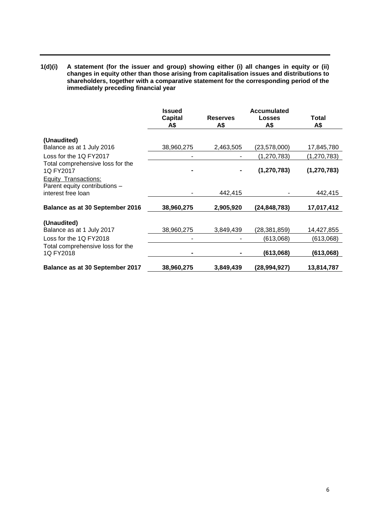**1(d)(i) A statement (for the issuer and group) showing either (i) all changes in equity or (ii) changes in equity other than those arising from capitalisation issues and distributions to shareholders, together with a comparative statement for the corresponding period of the immediately preceding financial year**

|                                               | <b>Issued</b><br>Capital<br>A\$ | <b>Reserves</b><br>A\$ | <b>Accumulated</b><br><b>Losses</b><br>A\$ | Total<br>A\$  |
|-----------------------------------------------|---------------------------------|------------------------|--------------------------------------------|---------------|
| (Unaudited)                                   |                                 |                        |                                            |               |
| Balance as at 1 July 2016                     | 38,960,275                      | 2,463,505              | (23, 578, 000)                             | 17,845,780    |
| Loss for the 1Q FY2017                        |                                 |                        | (1, 270, 783)                              | (1, 270, 783) |
| Total comprehensive loss for the<br>1Q FY2017 |                                 |                        | (1, 270, 783)                              | (1, 270, 783) |
| Equity Transactions:                          |                                 |                        |                                            |               |
| Parent equity contributions -                 |                                 |                        |                                            |               |
| interest free loan                            |                                 | 442,415                |                                            | 442,415       |
| Balance as at 30 September 2016               | 38,960,275                      | 2,905,920              | (24, 848, 783)                             | 17,017,412    |
| (Unaudited)                                   |                                 |                        |                                            |               |
| Balance as at 1 July 2017                     | 38,960,275                      | 3,849,439              | (28, 381, 859)                             | 14,427,855    |
| Loss for the 1Q FY2018                        |                                 |                        | (613,068)                                  | (613,068)     |
| Total comprehensive loss for the<br>1Q FY2018 |                                 |                        | (613,068)                                  | (613,068)     |
| Balance as at 30 September 2017               | 38,960,275                      | 3,849,439              | (28,994,927)                               | 13,814,787    |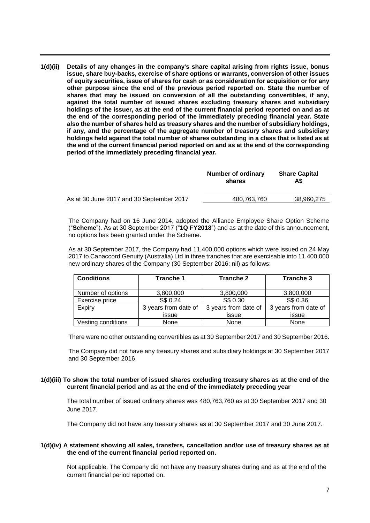**1(d)(ii) Details of any changes in the company's share capital arising from rights issue, bonus issue, share buy-backs, exercise of share options or warrants, conversion of other issues of equity securities, issue of shares for cash or as consideration for acquisition or for any other purpose since the end of the previous period reported on. State the number of shares that may be issued on conversion of all the outstanding convertibles, if any, against the total number of issued shares excluding treasury shares and subsidiary holdings of the issuer, as at the end of the current financial period reported on and as at the end of the corresponding period of the immediately preceding financial year. State also the number of shares held as treasury shares and the number of subsidiary holdings, if any, and the percentage of the aggregate number of treasury shares and subsidiary holdings held against the total number of shares outstanding in a class that is listed as at the end of the current financial period reported on and as at the end of the corresponding period of the immediately preceding financial year.**

|                                          | Number of ordinary<br>shares | <b>Share Capital</b><br>A\$ |  |
|------------------------------------------|------------------------------|-----------------------------|--|
| As at 30 June 2017 and 30 September 2017 | 480.763.760                  | 38.960.275                  |  |

The Company had on 16 June 2014, adopted the Alliance Employee Share Option Scheme ("**Scheme**"). As at 30 September 2017 ("**1Q FY2018**") and as at the date of this announcement, no options has been granted under the Scheme.

As at 30 September 2017, the Company had 11,400,000 options which were issued on 24 May 2017 to Canaccord Genuity (Australia) Ltd in three tranches that are exercisable into 11,400,000 new ordinary shares of the Company (30 September 2016: nil) as follows:

| <b>Conditions</b>  | Tranche 1            | Tranche 2            | Tranche 3            |
|--------------------|----------------------|----------------------|----------------------|
|                    |                      |                      |                      |
| Number of options  | 3,800,000            | 3,800,000            | 3,800,000            |
| Exercise price     | S\$ 0.24             | S\$ 0.30             | S\$ 0.36             |
| Expiry             | 3 years from date of | 3 years from date of | 3 years from date of |
|                    | issue                | issue                | issue                |
| Vesting conditions | None                 | None                 | None                 |

There were no other outstanding convertibles as at 30 September 2017 and 30 September 2016.

The Company did not have any treasury shares and subsidiary holdings at 30 September 2017 and 30 September 2016.

## **1(d)(iii) To show the total number of issued shares excluding treasury shares as at the end of the current financial period and as at the end of the immediately preceding year**

The total number of issued ordinary shares was 480,763,760 as at 30 September 2017 and 30 June 2017.

The Company did not have any treasury shares as at 30 September 2017 and 30 June 2017.

## **1(d)(iv) A statement showing all sales, transfers, cancellation and/or use of treasury shares as at the end of the current financial period reported on.**

Not applicable. The Company did not have any treasury shares during and as at the end of the current financial period reported on.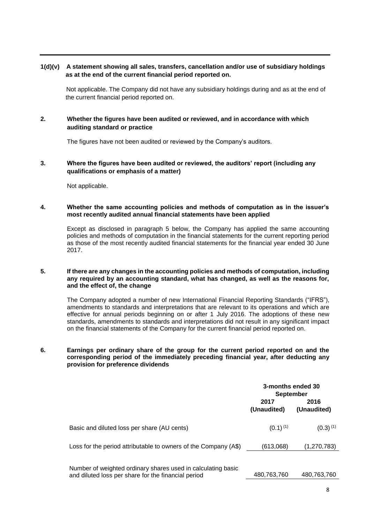# **1(d)(v) A statement showing all sales, transfers, cancellation and/or use of subsidiary holdings as at the end of the current financial period reported on.**

 Not applicable. The Company did not have any subsidiary holdings during and as at the end of the current financial period reported on.

# **2. Whether the figures have been audited or reviewed, and in accordance with which auditing standard or practice**

The figures have not been audited or reviewed by the Company's auditors.

# **3. Where the figures have been audited or reviewed, the auditors' report (including any qualifications or emphasis of a matter)**

Not applicable.

### **4. Whether the same accounting policies and methods of computation as in the issuer's most recently audited annual financial statements have been applied**

Except as disclosed in paragraph 5 below, the Company has applied the same accounting policies and methods of computation in the financial statements for the current reporting period as those of the most recently audited financial statements for the financial year ended 30 June 2017.

### **5. If there are any changes in the accounting policies and methods of computation, including any required by an accounting standard, what has changed, as well as the reasons for, and the effect of, the change**

The Company adopted a number of new International Financial Reporting Standards ("IFRS"), amendments to standards and interpretations that are relevant to its operations and which are effective for annual periods beginning on or after 1 July 2016. The adoptions of these new standards, amendments to standards and interpretations did not result in any significant impact on the financial statements of the Company for the current financial period reported on.

# **6. Earnings per ordinary share of the group for the current period reported on and the corresponding period of the immediately preceding financial year, after deducting any provision for preference dividends**

|                                                                                                                     | 3-months ended 30<br><b>September</b> |                     |
|---------------------------------------------------------------------------------------------------------------------|---------------------------------------|---------------------|
|                                                                                                                     | 2017<br>(Unaudited)                   | 2016<br>(Unaudited) |
| Basic and diluted loss per share (AU cents)                                                                         | $(0.1)^{(1)}$                         | $(0.3)^{(1)}$       |
| Loss for the period attributable to owners of the Company (A\$)                                                     | (613,068)                             | (1,270,783)         |
| Number of weighted ordinary shares used in calculating basic<br>and diluted loss per share for the financial period | 480.763.760                           | 480,763,760         |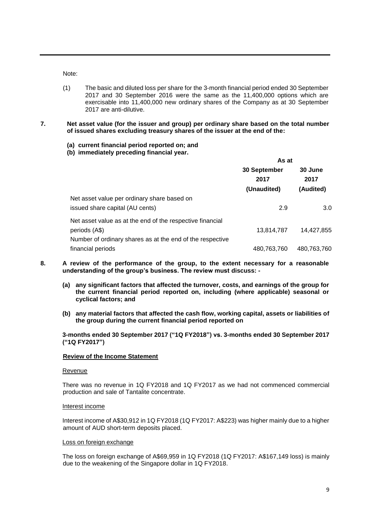Note:

- (1) The basic and diluted loss per share for the 3-month financial period ended 30 September 2017 and 30 September 2016 were the same as the 11,400,000 options which are exercisable into 11,400,000 new ordinary shares of the Company as at 30 September 2017 are anti-dilutive.
- **7. Net asset value (for the issuer and group) per ordinary share based on the total number of issued shares excluding treasury shares of the issuer at the end of the:**
	- **(a) current financial period reported on; and**
	- **(b) immediately preceding financial year.**

|                                                           | As at                |                  |  |
|-----------------------------------------------------------|----------------------|------------------|--|
|                                                           | 30 September<br>2017 | 30 June<br>2017  |  |
|                                                           | (Unaudited)          | (Audited)        |  |
| Net asset value per ordinary share based on               |                      |                  |  |
| issued share capital (AU cents)                           | 2.9                  | 3.0 <sub>2</sub> |  |
| Net asset value as at the end of the respective financial |                      |                  |  |
| periods (A\$)                                             | 13,814,787           | 14,427,855       |  |
| Number of ordinary shares as at the end of the respective |                      |                  |  |
| financial periods                                         | 480,763,760          | 480,763,760      |  |

- **8. A review of the performance of the group, to the extent necessary for a reasonable understanding of the group's business. The review must discuss: -**
	- **(a) any significant factors that affected the turnover, costs, and earnings of the group for the current financial period reported on, including (where applicable) seasonal or cyclical factors; and**
	- **(b) any material factors that affected the cash flow, working capital, assets or liabilities of the group during the current financial period reported on**

**3-months ended 30 September 2017 ("1Q FY2018") vs. 3-months ended 30 September 2017 ("1Q FY2017")**

# **Review of the Income Statement**

#### Revenue

There was no revenue in 1Q FY2018 and 1Q FY2017 as we had not commenced commercial production and sale of Tantalite concentrate.

### Interest income

Interest income of A\$30,912 in 1Q FY2018 (1Q FY2017: A\$223) was higher mainly due to a higher amount of AUD short-term deposits placed.

#### Loss on foreign exchange

The loss on foreign exchange of A\$69,959 in 1Q FY2018 (1Q FY2017: A\$167,149 loss) is mainly due to the weakening of the Singapore dollar in 1Q FY2018.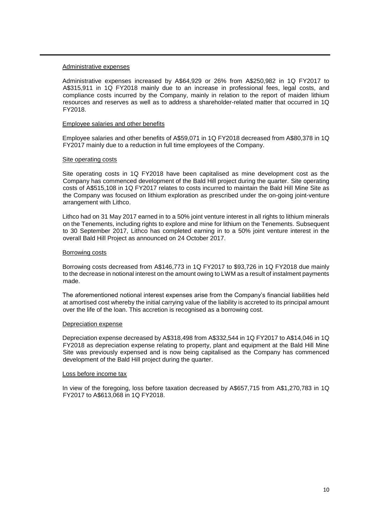#### Administrative expenses

Administrative expenses increased by A\$64,929 or 26% from A\$250,982 in 1Q FY2017 to A\$315,911 in 1Q FY2018 mainly due to an increase in professional fees, legal costs, and compliance costs incurred by the Company, mainly in relation to the report of maiden lithium resources and reserves as well as to address a shareholder-related matter that occurred in 1Q FY2018.

#### Employee salaries and other benefits

Employee salaries and other benefits of A\$59,071 in 1Q FY2018 decreased from A\$80,378 in 1Q FY2017 mainly due to a reduction in full time employees of the Company.

#### Site operating costs

Site operating costs in 1Q FY2018 have been capitalised as mine development cost as the Company has commenced development of the Bald Hill project during the quarter. Site operating costs of A\$515,108 in 1Q FY2017 relates to costs incurred to maintain the Bald Hill Mine Site as the Company was focused on lithium exploration as prescribed under the on-going joint-venture arrangement with Lithco.

Lithco had on 31 May 2017 earned in to a 50% joint venture interest in all rights to lithium minerals on the Tenements, including rights to explore and mine for lithium on the Tenements. Subsequent to 30 September 2017, Lithco has completed earning in to a 50% joint venture interest in the overall Bald Hill Project as announced on 24 October 2017.

### Borrowing costs

Borrowing costs decreased from A\$146,773 in 1Q FY2017 to \$93,726 in 1Q FY2018 due mainly to the decrease in notional interest on the amount owing to LWM as a result of instalment payments made.

The aforementioned notional interest expenses arise from the Company's financial liabilities held at amortised cost whereby the initial carrying value of the liability is accreted to its principal amount over the life of the loan. This accretion is recognised as a borrowing cost.

### Depreciation expense

Depreciation expense decreased by A\$318,498 from A\$332,544 in 1Q FY2017 to A\$14,046 in 1Q FY2018 as depreciation expense relating to property, plant and equipment at the Bald Hill Mine Site was previously expensed and is now being capitalised as the Company has commenced development of the Bald Hill project during the quarter.

#### Loss before income tax

In view of the foregoing, loss before taxation decreased by A\$657,715 from A\$1,270,783 in 1Q FY2017 to A\$613,068 in 1Q FY2018.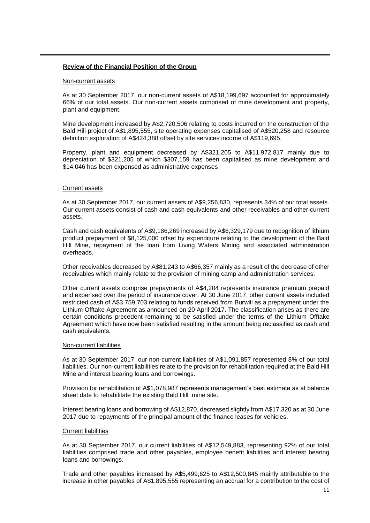### **Review of the Financial Position of the Group**

#### Non-current assets

As at 30 September 2017, our non-current assets of A\$18,199,697 accounted for approximately 66% of our total assets. Our non-current assets comprised of mine development and property, plant and equipment.

Mine development increased by A\$2,720,506 relating to costs incurred on the construction of the Bald Hill project of A\$1,895,555, site operating expenses capitalised of A\$520,258 and resource definition exploration of A\$424,388 offset by site services income of A\$119,695.

Property, plant and equipment decreased by A\$321,205 to A\$11,972,817 mainly due to depreciation of \$321,205 of which \$307,159 has been capitalised as mine development and \$14,046 has been expensed as administrative expenses.

#### Current assets

As at 30 September 2017, our current assets of A\$9,256,830, represents 34% of our total assets. Our current assets consist of cash and cash equivalents and other receivables and other current assets.

Cash and cash equivalents of A\$9,186,269 increased by A\$6,329,179 due to recognition of lithium product prepayment of \$8,125,000 offset by expenditure relating to the development of the Bald Hill Mine, repayment of the loan from Living Waters Mining and associated administration overheads.

Other receivables decreased by A\$81,243 to A\$66,357 mainly as a result of the decrease of other receivables which mainly relate to the provision of mining camp and administration services.

Other current assets comprise prepayments of A\$4,204 represents insurance premium prepaid and expensed over the period of insurance cover. At 30 June 2017, other current assets included restricted cash of A\$3,759,703 relating to funds received from Burwill as a prepayment under the Lithium Offtake Agreement as announced on 20 April 2017. The classification arises as there are certain conditions precedent remaining to be satisfied under the terms of the Lithium Offtake Agreement which have now been satisfied resulting in the amount being reclassified as cash and cash equivalents.

#### Non-current liabilities

As at 30 September 2017, our non-current liabilities of A\$1,091,857 represented 8% of our total liabilities. Our non-current liabilities relate to the provision for rehabilitation required at the Bald Hill Mine and interest bearing loans and borrowings.

Provision for rehabilitation of A\$1,078,987 represents management's best estimate as at balance sheet date to rehabilitate the existing Bald Hill mine site.

Interest bearing loans and borrowing of A\$12,870, decreased slightly from A\$17,320 as at 30 June 2017 due to repayments of the principal amount of the finance leases for vehicles.

#### Current liabilities

As at 30 September 2017, our current liabilities of A\$12,549,883, representing 92% of our total liabilities comprised trade and other payables, employee benefit liabilities and interest bearing loans and borrowings.

Trade and other payables increased by A\$5,499,625 to A\$12,500,845 mainly attributable to the increase in other payables of A\$1,895,555 representing an accrual for a contribution to the cost of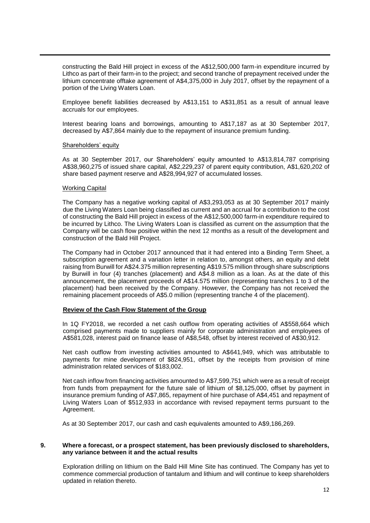constructing the Bald Hill project in excess of the A\$12,500,000 farm-in expenditure incurred by Lithco as part of their farm-in to the project; and second tranche of prepayment received under the lithium concentrate offtake agreement of A\$4,375,000 in July 2017, offset by the repayment of a portion of the Living Waters Loan.

Employee benefit liabilities decreased by A\$13,151 to A\$31,851 as a result of annual leave accruals for our employees.

Interest bearing loans and borrowings, amounting to A\$17,187 as at 30 September 2017, decreased by A\$7,864 mainly due to the repayment of insurance premium funding.

#### Shareholders' equity

As at 30 September 2017, our Shareholders' equity amounted to A\$13,814,787 comprising A\$38,960,275 of issued share capital, A\$2,229,237 of parent equity contribution, A\$1,620,202 of share based payment reserve and A\$28,994,927 of accumulated losses.

#### Working Capital

The Company has a negative working capital of A\$3,293,053 as at 30 September 2017 mainly due the Living Waters Loan being classified as current and an accrual for a contribution to the cost of constructing the Bald Hill project in excess of the A\$12,500,000 farm-in expenditure required to be incurred by Lithco. The Living Waters Loan is classified as current on the assumption that the Company will be cash flow positive within the next 12 months as a result of the development and construction of the Bald Hill Project.

The Company had in October 2017 announced that it had entered into a Binding Term Sheet, a subscription agreement and a variation letter in relation to, amongst others, an equity and debt raising from Burwill for A\$24.375 million representing A\$19.575 million through share subscriptions by Burwill in four (4) tranches (placement) and A\$4.8 million as a loan. As at the date of this announcement, the placement proceeds of A\$14.575 million (representing tranches 1 to 3 of the placement) had been received by the Company. However, the Company has not received the remaining placement proceeds of A\$5.0 million (representing tranche 4 of the placement).

# **Review of the Cash Flow Statement of the Group**

In 1Q FY2018, we recorded a net cash outflow from operating activities of A\$558,664 which comprised payments made to suppliers mainly for corporate administration and employees of A\$581,028, interest paid on finance lease of A\$8,548, offset by interest received of A\$30,912.

Net cash outflow from investing activities amounted to A\$641,949, which was attributable to payments for mine development of \$824,951, offset by the receipts from provision of mine administration related services of \$183,002.

Net cash inflow from financing activities amounted to A\$7,599,751 which were as a result of receipt from funds from prepayment for the future sale of lithium of \$8,125,000, offset by payment in insurance premium funding of A\$7,865, repayment of hire purchase of A\$4,451 and repayment of Living Waters Loan of \$512,933 in accordance with revised repayment terms pursuant to the Agreement.

As at 30 September 2017, our cash and cash equivalents amounted to A\$9,186,269.

### **9. Where a forecast, or a prospect statement, has been previously disclosed to shareholders, any variance between it and the actual results**

Exploration drilling on lithium on the Bald Hill Mine Site has continued. The Company has yet to commence commercial production of tantalum and lithium and will continue to keep shareholders updated in relation thereto.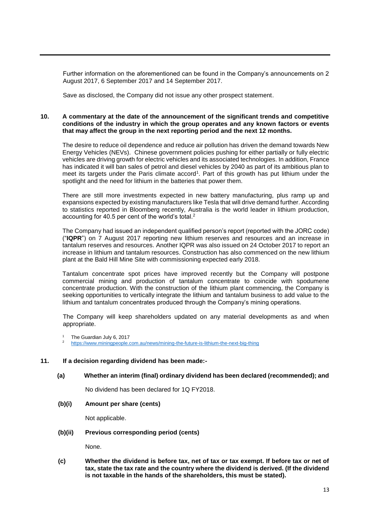Further information on the aforementioned can be found in the Company's announcements on 2 August 2017, 6 September 2017 and 14 September 2017.

Save as disclosed, the Company did not issue any other prospect statement.

### **10. A commentary at the date of the announcement of the significant trends and competitive conditions of the industry in which the group operates and any known factors or events that may affect the group in the next reporting period and the next 12 months.**

The desire to reduce oil dependence and reduce air pollution has driven the demand towards New Energy Vehicles (NEVs). Chinese government policies pushing for either partially or fully electric vehicles are driving growth for electric vehicles and its associated technologies. In addition, France has indicated it will ban sales of petrol and diesel vehicles by 2040 as part of its ambitious plan to meet its targets under the Paris climate accord<sup>1</sup>. Part of this growth has put lithium under the spotlight and the need for lithium in the batteries that power them.

There are still more investments expected in new battery manufacturing, plus ramp up and expansions expected by existing manufacturers like Tesla that will drive demand further. According to statistics reported in Bloomberg recently, Australia is the world leader in lithium production, accounting for 40.5 per cent of the world's total. $2$ 

The Company had issued an independent qualified person's report (reported with the JORC code) ("**IQPR**") on 7 August 2017 reporting new lithium reserves and resources and an increase in tantalum reserves and resources. Another IQPR was also issued on 24 October 2017 to report an increase in lithium and tantalum resources. Construction has also commenced on the new lithium plant at the Bald Hill Mine Site with commissioning expected early 2018.

Tantalum concentrate spot prices have improved recently but the Company will postpone commercial mining and production of tantalum concentrate to coincide with spodumene concentrate production. With the construction of the lithium plant commencing, the Company is seeking opportunities to vertically integrate the lithium and tantalum business to add value to the lithium and tantalum concentrates produced through the Company's mining operations.

The Company will keep shareholders updated on any material developments as and when appropriate.

1 The Guardian July 6, 2017

2 <https://www.miningpeople.com.au/news/mining-the-future-is-lithium-the-next-big-thing>

### **11. If a decision regarding dividend has been made:-**

### **(a) Whether an interim (final) ordinary dividend has been declared (recommended); and**

No dividend has been declared for 1Q FY2018.

**(b)(i) Amount per share (cents)**

Not applicable.

#### **(b)(ii) Previous corresponding period (cents)**

None.

**(c) Whether the dividend is before tax, net of tax or tax exempt. If before tax or net of tax, state the tax rate and the country where the dividend is derived. (If the dividend is not taxable in the hands of the shareholders, this must be stated).**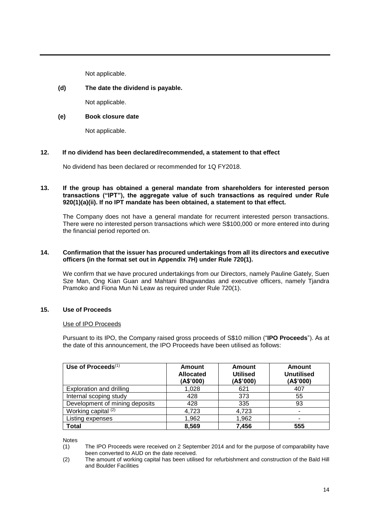Not applicable.

# **(d) The date the dividend is payable.**

Not applicable.

## **(e) Book closure date**

Not applicable.

### **12. If no dividend has been declared/recommended, a statement to that effect**

No dividend has been declared or recommended for 1Q FY2018.

### **13. If the group has obtained a general mandate from shareholders for interested person transactions ("IPT"), the aggregate value of such transactions as required under Rule 920(1)(a)(ii). If no IPT mandate has been obtained, a statement to that effect.**

The Company does not have a general mandate for recurrent interested person transactions. There were no interested person transactions which were S\$100,000 or more entered into during the financial period reported on.

#### **14. Confirmation that the issuer has procured undertakings from all its directors and executive officers (in the format set out in Appendix 7H) under Rule 720(1).**

We confirm that we have procured undertakings from our Directors, namely Pauline Gately, Suen Sze Man, Ong Kian Guan and Mahtani Bhagwandas and executive officers, namely Tjandra Pramoko and Fiona Mun Ni Leaw as required under Rule 720(1).

### **15. Use of Proceeds**

# Use of IPO Proceeds

Pursuant to its IPO, the Company raised gross proceeds of S\$10 million ("**IPO Proceeds**"). As at the date of this announcement, the IPO Proceeds have been utilised as follows:

| Use of Proceeds $(1)$          | Amount<br><b>Allocated</b><br>(A\$'000) | Amount<br><b>Utilised</b><br>(A\$'000) | Amount<br><b>Unutilised</b><br>(A\$'000) |
|--------------------------------|-----------------------------------------|----------------------------------------|------------------------------------------|
| Exploration and drilling       | 1,028                                   | 621                                    | 407                                      |
| Internal scoping study         | 428                                     | 373                                    | 55                                       |
| Development of mining deposits | 428                                     | 335                                    | 93                                       |
| Working capital <sup>(2)</sup> | 4,723                                   | 4,723                                  | ۰                                        |
| Listing expenses               | 1,962                                   | 1,962                                  | ۰                                        |
| <b>Total</b>                   | 8,569                                   | 7,456                                  | 555                                      |

Notes

(1) The IPO Proceeds were received on 2 September 2014 and for the purpose of comparability have been converted to AUD on the date received.

(2) The amount of working capital has been utilised for refurbishment and construction of the Bald Hill and Boulder Facilities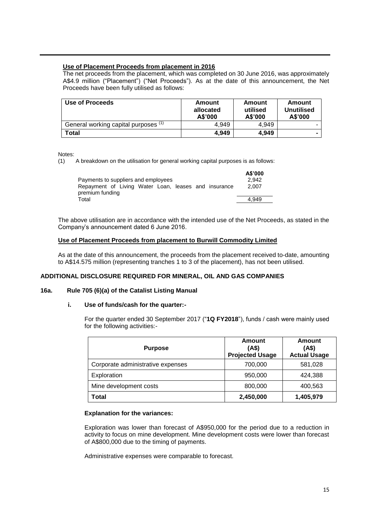# **Use of Placement Proceeds from placement in 2016**

The net proceeds from the placement, which was completed on 30 June 2016, was approximately A\$4.9 million ("Placement") ("Net Proceeds"). As at the date of this announcement, the Net Proceeds have been fully utilised as follows:

| Use of Proceeds                      | Amount<br>allocated<br>A\$'000 | Amount<br>utilised<br>A\$'000 | Amount<br><b>Unutilised</b><br>A\$'000 |
|--------------------------------------|--------------------------------|-------------------------------|----------------------------------------|
| General working capital purposes (1) | 4.949                          | 4.949                         |                                        |
| Total                                | 4.949                          | 4.949                         |                                        |

Notes:<br>(1) A breakdown on the utilisation for general working capital purposes is as follows:

|                                                                         | A\$'000 |
|-------------------------------------------------------------------------|---------|
| Payments to suppliers and employees                                     | 2.942   |
| Repayment of Living Water Loan, leases and insurance<br>premium funding | 2.007   |
| Total                                                                   | 4.949   |
|                                                                         |         |

The above utilisation are in accordance with the intended use of the Net Proceeds, as stated in the Company's announcement dated 6 June 2016.

### **Use of Placement Proceeds from placement to Burwill Commodity Limited**

As at the date of this announcement, the proceeds from the placement received to-date, amounting to A\$14.575 million (representing tranches 1 to 3 of the placement), has not been utilised.

### **ADDITIONAL DISCLOSURE REQUIRED FOR MINERAL, OIL AND GAS COMPANIES**

### **16a. Rule 705 (6)(a) of the Catalist Listing Manual**

### **i. Use of funds/cash for the quarter:-**

For the quarter ended 30 September 2017 ("**1Q FY2018**"), funds / cash were mainly used for the following activities:-

| <b>Purpose</b>                    | Amount<br>(A\$)<br><b>Projected Usage</b> | Amount<br>(4\$)<br><b>Actual Usage</b> |  |
|-----------------------------------|-------------------------------------------|----------------------------------------|--|
| Corporate administrative expenses | 700,000                                   | 581,028                                |  |
| Exploration                       | 950,000                                   | 424,388                                |  |
| Mine development costs            | 800,000                                   | 400,563                                |  |
| Total                             | 2,450,000                                 | 1,405,979                              |  |

### **Explanation for the variances:**

Exploration was lower than forecast of A\$950,000 for the period due to a reduction in activity to focus on mine development. Mine development costs were lower than forecast of A\$800,000 due to the timing of payments.

Administrative expenses were comparable to forecast.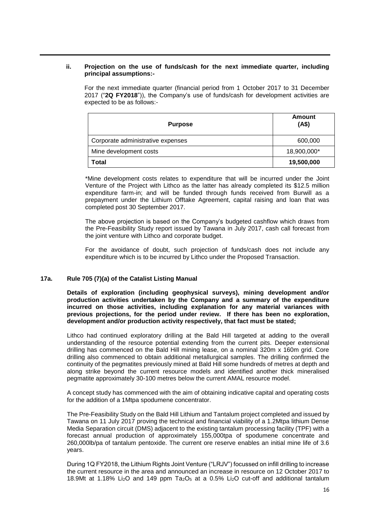#### **ii. Projection on the use of funds/cash for the next immediate quarter, including principal assumptions:-**

For the next immediate quarter (financial period from 1 October 2017 to 31 December 2017 ("**2Q FY2018**")), the Company's use of funds/cash for development activities are expected to be as follows:-

| <b>Purpose</b>                    | Amount<br>(AS) |
|-----------------------------------|----------------|
| Corporate administrative expenses | 600,000        |
| Mine development costs            | 18,900,000*    |
| Total                             | 19,500,000     |

\*Mine development costs relates to expenditure that will be incurred under the Joint Venture of the Project with Lithco as the latter has already completed its \$12.5 million expenditure farm-in; and will be funded through funds received from Burwill as a prepayment under the Lithium Offtake Agreement, capital raising and loan that was completed post 30 September 2017.

The above projection is based on the Company's budgeted cashflow which draws from the Pre-Feasibility Study report issued by Tawana in July 2017, cash call forecast from the joint venture with Lithco and corporate budget.

For the avoidance of doubt, such projection of funds/cash does not include any expenditure which is to be incurred by Lithco under the Proposed Transaction.

### **17a. Rule 705 (7)(a) of the Catalist Listing Manual**

**Details of exploration (including geophysical surveys), mining development and/or production activities undertaken by the Company and a summary of the expenditure incurred on those activities, including explanation for any material variances with previous projections, for the period under review. If there has been no exploration, development and/or production activity respectively, that fact must be stated;**

Lithco had continued exploratory drilling at the Bald Hill targeted at adding to the overall understanding of the resource potential extending from the current pits. Deeper extensional drilling has commenced on the Bald Hill mining lease, on a nominal 320m x 160m grid. Core drilling also commenced to obtain additional metallurgical samples. The drilling confirmed the continuity of the pegmatites previously mined at Bald Hill some hundreds of metres at depth and along strike beyond the current resource models and identified another thick mineralised pegmatite approximately 30-100 metres below the current AMAL resource model.

A concept study has commenced with the aim of obtaining indicative capital and operating costs for the addition of a 1Mtpa spodumene concentrator.

The Pre-Feasibility Study on the Bald Hill Lithium and Tantalum project completed and issued by Tawana on 11 July 2017 proving the technical and financial viability of a 1.2Mtpa lithium Dense Media Separation circuit (DMS) adjacent to the existing tantalum processing facility (TPF) with a forecast annual production of approximately 155,000tpa of spodumene concentrate and 260,000lb/pa of tantalum pentoxide. The current ore reserve enables an initial mine life of 3.6 years.

During 1Q FY2018, the Lithium Rights Joint Venture ("LRJV") focussed on infill drilling to increase the current resource in the area and announced an increase in resource on 12 October 2017 to 18.9Mt at 1.18% Li<sub>2</sub>O and 149 ppm  $Ta_2O_5$  at a 0.5% Li<sub>2</sub>O cut-off and additional tantalum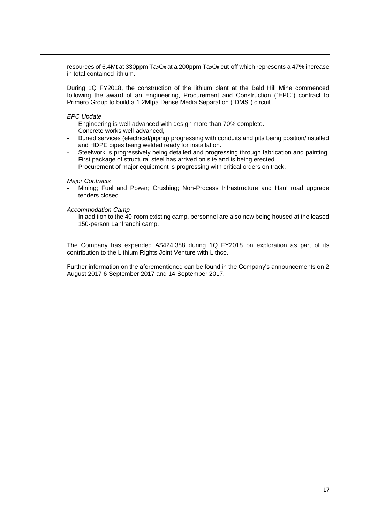resources of 6.4Mt at 330ppm  $Ta_2O_5$  at a 200ppm  $Ta_2O_5$  cut-off which represents a 47% increase in total contained lithium.

During 1Q FY2018, the construction of the lithium plant at the Bald Hill Mine commenced following the award of an Engineering, Procurement and Construction ("EPC") contract to Primero Group to build a 1.2Mtpa Dense Media Separation ("DMS") circuit.

### *EPC Update*

- Engineering is well-advanced with design more than 70% complete.
- Concrete works well-advanced,
- Buried services (electrical/piping) progressing with conduits and pits being position/installed and HDPE pipes being welded ready for installation.
- Steelwork is progressively being detailed and progressing through fabrication and painting. First package of structural steel has arrived on site and is being erected.
- Procurement of major equipment is progressing with critical orders on track.

#### *Major Contracts*

- Mining; Fuel and Power; Crushing; Non-Process Infrastructure and Haul road upgrade tenders closed.

#### *Accommodation Camp*

In addition to the 40-room existing camp, personnel are also now being housed at the leased 150-person Lanfranchi camp.

The Company has expended A\$424,388 during 1Q FY2018 on exploration as part of its contribution to the Lithium Rights Joint Venture with Lithco.

Further information on the aforementioned can be found in the Company's announcements on 2 August 2017 6 September 2017 and 14 September 2017.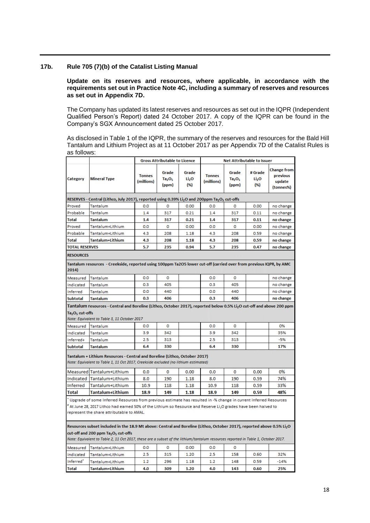### **17b. Rule 705 (7)(b) of the Catalist Listing Manual**

### **Update on its reserves and resources, where applicable, in accordance with the requirements set out in Practice Note 4C, including a summary of reserves and resources as set out in Appendix 7D.**

The Company has updated its latest reserves and resources as set out in the IQPR (Independent Qualified Person's Report) dated 24 October 2017. A copy of the IQPR can be found in the Company's SGX Announcement dated 25 October 2017.

As disclosed in Table 1 of the IQPR, the summary of the reserves and resources for the Bald Hill Tantalum and Lithium Project as at 11 October 2017 as per Appendix 7D of the Catalist Rules is as follows:

|                                        |                                                                                                                                                                                                                                                                                                                                        |                             | <b>Gross Attributable to Licence</b>             |                                   | <b>Net Attributable to Issuer</b> |                                                  |                                     |                                                       |
|----------------------------------------|----------------------------------------------------------------------------------------------------------------------------------------------------------------------------------------------------------------------------------------------------------------------------------------------------------------------------------------|-----------------------------|--------------------------------------------------|-----------------------------------|-----------------------------------|--------------------------------------------------|-------------------------------------|-------------------------------------------------------|
| <b>Category</b><br><b>Mineral Type</b> |                                                                                                                                                                                                                                                                                                                                        | <b>Tonnes</b><br>(millions) | Grade<br>Ta <sub>2</sub> O <sub>5</sub><br>(ppm) | Grade<br>Li <sub>2</sub> O<br>(%) | <b>Tonnes</b><br>(millions)       | Grade<br>Ta <sub>2</sub> O <sub>5</sub><br>(ppm) | # Grade<br>Li <sub>2</sub> O<br>(%) | <b>Change from</b><br>previous<br>update<br>(tonnes%) |
|                                        | RESERVES - Central (Lithco, July 2017), reported using 0.39% Li <sub>2</sub> O and 200ppm Ta <sub>2</sub> O <sub>s</sub> cut-offs                                                                                                                                                                                                      |                             |                                                  |                                   |                                   |                                                  |                                     |                                                       |
| Proved                                 | Tantalum                                                                                                                                                                                                                                                                                                                               | 0.0                         | 0                                                | 0.00                              | 0.0                               | 0                                                | 0.00                                | no change                                             |
| Probable                               | <b>Tantalum</b>                                                                                                                                                                                                                                                                                                                        | 1.4                         | 317                                              | 0.21                              | 1.4                               | 317                                              | 0.11                                | no change                                             |
| <b>Total</b>                           | <b>Tantalum</b>                                                                                                                                                                                                                                                                                                                        | 1.4                         | 317                                              | 0.21                              | 1.4                               | 317                                              | 0.11                                | no change                                             |
| Proved                                 | Tantalum+Lithium                                                                                                                                                                                                                                                                                                                       | 0.0                         | о                                                | 0.00                              | 0.0                               | o                                                | 0.00                                | no change                                             |
| Probable                               | Tantalum+Lithium                                                                                                                                                                                                                                                                                                                       | 4.3                         | 208                                              | 1.18                              | 4.3                               | 208                                              | 0.59                                | no change                                             |
| <b>Total</b>                           | Tantalum+Lithium                                                                                                                                                                                                                                                                                                                       | 4.3                         | 208                                              | 1.18                              | 4.3                               | 208                                              | 0.59                                | no change                                             |
| <b>TOTAL RESERVES</b>                  |                                                                                                                                                                                                                                                                                                                                        | 5.7                         | 235                                              | 0.94                              | 5.7                               | 235                                              | 0.47                                | no change                                             |
| <b>RESOURCES</b>                       |                                                                                                                                                                                                                                                                                                                                        |                             |                                                  |                                   |                                   |                                                  |                                     |                                                       |
| 2014                                   | Tantalum resources - Creekside, reported using 100ppm Ta2O5 lower cut-off (carried over from previous IQPR, by AMC                                                                                                                                                                                                                     |                             |                                                  |                                   |                                   |                                                  |                                     |                                                       |
| Measured                               | Tantalum                                                                                                                                                                                                                                                                                                                               | 0.0                         | o                                                |                                   | 0.0                               | о                                                |                                     | no change                                             |
| Indicated                              | Tantalum                                                                                                                                                                                                                                                                                                                               | 0.3                         | 405                                              |                                   | 0.3                               | 405                                              |                                     | no change                                             |
| Inferred                               | Tantalum                                                                                                                                                                                                                                                                                                                               | 0.0                         | 440                                              |                                   | 0.0                               | 440                                              |                                     | no change                                             |
| <b>Subtotal</b>                        | <b>Tantalum</b>                                                                                                                                                                                                                                                                                                                        | 0.3                         | 406                                              |                                   | 0.3                               | 406                                              |                                     | no change                                             |
| $Ta2O5$ cut-offs                       | Tantalum resources - Central and Boreline (Lithco, October 2017), reported below 0.5% Li <sub>2</sub> O cut-off and above 200 ppm<br>Note: Equivalent to Table 3, 11 October 2017                                                                                                                                                      |                             |                                                  |                                   |                                   |                                                  |                                     |                                                       |
| Measured                               | Tantalum                                                                                                                                                                                                                                                                                                                               | 0.0                         | o                                                |                                   | 0.0                               | о                                                |                                     | 0%                                                    |
| Indicated                              | Tantalum                                                                                                                                                                                                                                                                                                                               | 3.9                         | 342                                              |                                   | 3.9                               | 342                                              |                                     | 35%                                                   |
| Inferred+                              | Tantalum                                                                                                                                                                                                                                                                                                                               | 2.5                         | 313                                              |                                   | 2.5                               | 313                                              |                                     | $-5%$                                                 |
| <b>Subtotal</b>                        | <b>Tantalum</b>                                                                                                                                                                                                                                                                                                                        | 6.4                         | 330                                              |                                   | 6.4                               | 330                                              |                                     | 17%                                                   |
|                                        | Tantalum + Lithium Resources - Central and Boreline (Lithco, October 2017)<br>Note: Equivalent to Table 1, 11 Oct 2017, Creekside excluded (no lithium estimated)                                                                                                                                                                      |                             |                                                  |                                   |                                   |                                                  |                                     |                                                       |
|                                        | Measured Tantalum+Lithium                                                                                                                                                                                                                                                                                                              | 0.0                         | 0                                                | 0.00                              | 0.0                               | 0                                                | 0.00                                | 0%                                                    |
|                                        | Indicated Tantalum+Lithium                                                                                                                                                                                                                                                                                                             | 8.0                         | 190                                              | 1.18                              | 8.0                               | 190                                              | 0.59                                | 74%                                                   |
| Inferred                               | Tantalum+Lithium                                                                                                                                                                                                                                                                                                                       | 10.9                        | 118                                              | 1.18                              | 10.9                              | 118                                              | 0.59                                | 33%                                                   |
| Total                                  | Tantalum+Lithium                                                                                                                                                                                                                                                                                                                       | 18.9                        | 149                                              | 1.18                              | 18.9                              | 149                                              | 0.59                                | 48%                                                   |
|                                        | Upgrade of some Inferred Resources from previous estimate has resulted in -% change in current Inferred Resources<br>At June 28, 2017 Lithco had earned 50% of the Lithium so Resource and Reserve Li <sub>2</sub> O grades have been halved to<br>represent the share attributable to AMAL.                                           |                             |                                                  |                                   |                                   |                                                  |                                     |                                                       |
|                                        | Resources subset included in the 18.9 Mt above: Central and Boreline (Lithco, October 2017), reported above 0.5% Li <sub>2</sub> O<br>cut-off and 200 ppm Ta <sub>2</sub> O <sub>5</sub> cut-offs<br>Note: Equivalent to Table 2, 11 Oct 2017, these are a subset of the lithium/tantalum resources reported in Table 1, October 2017. |                             |                                                  |                                   |                                   |                                                  |                                     |                                                       |
| Measured                               | Tantalum+Lithium                                                                                                                                                                                                                                                                                                                       | 0.0                         | ٥                                                | 0.00                              | 0.0                               | о                                                |                                     |                                                       |
| Indicated                              | Tantalum+Lithium                                                                                                                                                                                                                                                                                                                       | 2.5                         | 315                                              | 1.20                              | 2.5                               | 158                                              | 0.60                                | 32%                                                   |
| Inferred <sup>+</sup>                  | Tantalum+Lithium                                                                                                                                                                                                                                                                                                                       | 1.2                         | 296                                              | 1.18                              | 1.2                               | 148                                              | 0.59                                | $-14%$                                                |
| Total                                  | Tantalum+Lithium                                                                                                                                                                                                                                                                                                                       | 4 O                         | 309                                              | 1.20                              | 4 N                               | 143                                              | በ 6በ                                | 25%                                                   |